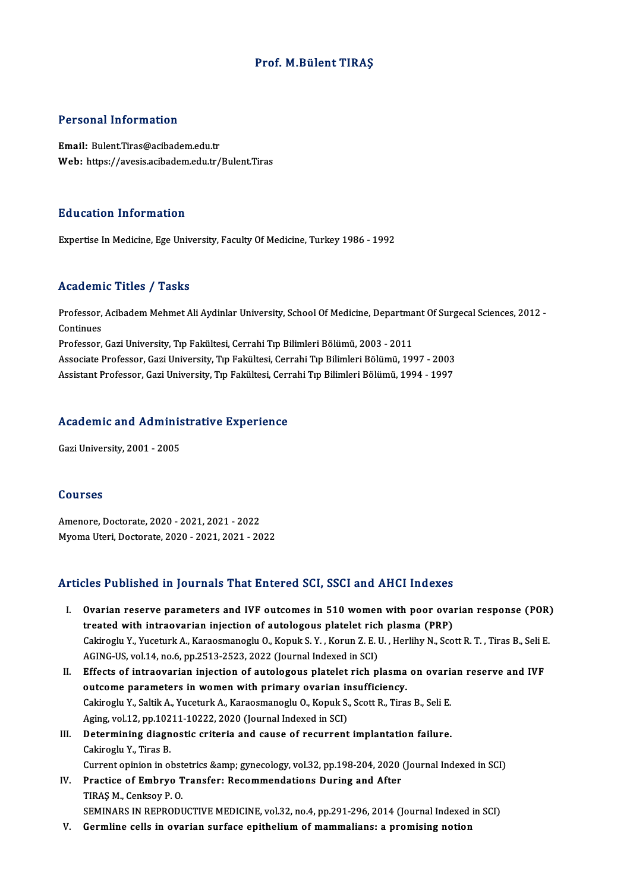## Prof.M.Bülent TIRAŞ

## Personal Information

Email: Bulent.Tiras@acibadem.edu.tr Web: https://avesis.acibadem.edu.tr/Bulent.Tiras

## Education Information

Expertise In Medicine, Ege University, Faculty Of Medicine, Turkey 1986 - 1992

### Academic Titles / Tasks

**Academic Titles / Tasks**<br>Professor, Acibadem Mehmet Ali Aydinlar University, School Of Medicine, Departmant Of Surgecal Sciences, 2012 -<br>Continues Professor,<br>Continues<br>Professor Professor, Acibadem Mehmet Ali Aydinlar University, School Of Medicine, Departma<br>Continues<br>Professor, Gazi University, Tıp Fakültesi, Cerrahi Tıp Bilimleri Bölümü, 2003 - 2011<br>Assesiste Professor, Cazi University, Tıp Fakü Continues<br>Professor, Gazi University, Tıp Fakültesi, Cerrahi Tıp Bilimleri Bölümü, 2003 - 2011<br>Associate Professor, Gazi University, Tıp Fakültesi, Cerrahi Tıp Bilimleri Bölümü, 1997 - 2003

AssistantProfessor,GaziUniversity,Tıp Fakültesi,CerrahiTıpBilimleriBölümü,1994 -1997

# Assistant Professor, Gazi University, Tip Pakuitesi, Cerr<br>Academic and Administrative Experience A<mark>cademic and Admini</mark>s<br>Gazi University, 2001 - 2005

Gazi University, 2001 - 2005<br>Courses

Amenore,Doctorate,2020 -2021,2021 -2022 MyomaUteri,Doctorate,2020 -2021,2021 -2022

## Articles Published in Journals That Entered SCI, SSCI and AHCI Indexes

- rticles Published in Journals That Entered SCI, SSCI and AHCI Indexes<br>I. Ovarian reserve parameters and IVF outcomes in 510 women with poor ovarian response (POR)<br>treated with intreavarian injection of autologaus platelet The Thursday of a subsidiary of a statement of autorities of a statement with poor ovariant interaction of autologous platelet rich plasma (PRP)<br>Televisional W. Yucotusk A. Karacsmanagh: O. Kanuk S. Y. Karun 7, E. H. Harli Ovarian reserve parameters and IVF outcomes in 510 women with poor ovarian response (POR)<br>treated with intraovarian injection of autologous platelet rich plasma (PRP)<br>Cakiroglu Y., Yuceturk A., Karaosmanoglu O., Kopuk S. Y treated with intraovarian injection of autologous platelet rich plasma (PRP)<br>Cakiroglu Y., Yuceturk A., Karaosmanoglu O., Kopuk S. Y. , Korun Z. E. U. , Herlihy N., Scott R. T. , Tiras B., Seli E.<br>AGING-US, vol.14, no.6, p Cakiroglu Y., Yuceturk A., Karaosmanoglu O., Kopuk S. Y. , Korun Z. E. U. , Herlihy N., Scott R. T. , Tiras B., Seli E<br>AGING-US, vol.14, no.6, pp.2513-2523, 2022 (Journal Indexed in SCI)<br>II. Effects of intraovarian injecti
- AGING-US, vol.14, no.6, pp.2513-2523, 2022 (Journal Indexed in SCI)<br>Effects of intraovarian injection of autologous platelet rich plasma<br>outcome parameters in women with primary ovarian insufficiency.<br>Cakingglu Y. Sakih A. Effects of intraovarian injection of autologous platelet rich plasma on ovaria<br>outcome parameters in women with primary ovarian insufficiency.<br>Cakiroglu Y., Saltik A., Yuceturk A., Karaosmanoglu O., Kopuk S., Scott R., Tir outcome parameters in women with primary ovarian in<br>Cakiroglu Y., Saltik A., Yuceturk A., Karaosmanoglu O., Kopuk S.<br>Aging, vol.12, pp.10211-10222, 2020 (Journal Indexed in SCI)<br>Determining diagnostic suitaria and sause of Cakiroglu Y., Saltik A., Yuceturk A., Karaosmanoglu O., Kopuk S., Scott R., Tiras B., Seli E.<br>Aging, vol.12, pp.10211-10222, 2020 (Journal Indexed in SCI)<br>III. Determining diagnostic criteria and cause of recurrent implant
- Aging, vol.12, pp.102<br>Determining diagn<br>Cakiroglu Y., Tiras B.<br>Current eninion in al Determining diagnostic criteria and cause of recurrent implantation failure.<br>Cakiroglu Y., Tiras B.<br>Current opinion in obstetrics &amp; gynecology, vol.32, pp.198-204, 2020 (Journal Indexed in SCI)<br>Prestice of Embrue Trans Cakiroglu Y., Tiras B.<br>Current opinion in obstetrics &amp; gynecology, vol.32, pp.198-204, 2020 (<br>IV. Practice of Embryo Transfer: Recommendations During and After<br>TIBAS M. Conkroy B.O.
- Current opinion in obst<br>Practice of Embryo T<br>TIRAŞ M., Cenksoy P. O.<br>SEMINARS IN REPRODI TIRAŞ M., Cenksoy P. O.<br>SEMINARS IN REPRODUCTIVE MEDICINE, vol.32, no.4, pp.291-296, 2014 (Journal Indexed in SCI)
- V. Germline cells in ovarian surface epithelium of mammalians: a promising notion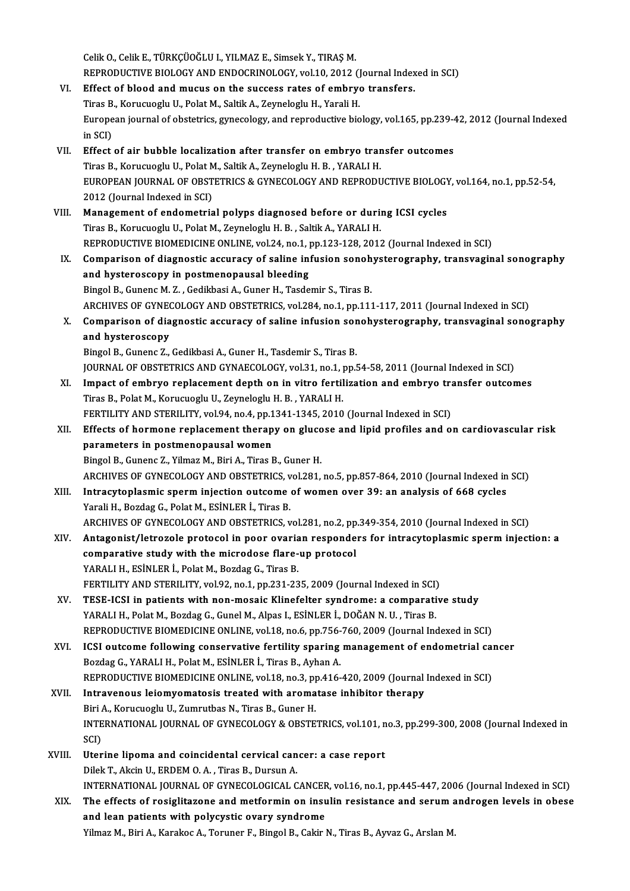Celik O., Celik E., TÜRKÇÜOĞLU I., YILMAZ E., Simsek Y., TIRAŞ M. Celik O., Celik E., TÜRKÇÜOĞLU I., YILMAZ E., Simsek Y., TIRAŞ M.<br>REPRODUCTIVE BIOLOGY AND ENDOCRINOLOGY, vol.10, 2012 (Journal Indexed in SCI)<br>Effect of blood and musus on the sussess rates of ombrue transfors Celik O., Celik E., TÜRKÇÜOĞLU I., YILMAZ E., Simsek Y., TIRAŞ M.<br>REPRODUCTIVE BIOLOGY AND ENDOCRINOLOGY, vol.10, 2012 (Journal Index<br>VI. Effect of blood and mucus on the success rates of embryo transfers.<br>Ting B. Komunica REPRODUCTIVE BIOLOGY AND ENDOCRINOLOGY, vol.10, 2012 ()<br>Effect of blood and mucus on the success rates of embry<br>Tiras B., Korucuoglu U., Polat M., Saltik A., Zeyneloglu H., Yarali H.<br>European journal of obstatries, superco VI. Effect of blood and mucus on the success rates of embryo transfers.<br>Tiras B., Korucuoglu U., Polat M., Saltik A., Zeyneloglu H., Yarali H.<br>European journal of obstetrics, gynecology, and reproductive biology, vol.165, Tiras B., Korucuoglu U., Polat M., Saltik A., Zeyneloglu H., Yarali H. European journal of obstetrics, gynecology, and reproductive biology, vol.165, pp.239-4<br>in SCI)<br>VII. Effect of air bubble localization after transfer on embryo transfer outcomes<br>Tipes B. Korveyorly H. Bolst M. Seltik A. Zo in SCI)<br><mark>Effect of air bubble localization after transfer on embryo trar</mark><br>Tiras B., Korucuoglu U., Polat M., Saltik A., Zeyneloglu H. B. , YARALI H.<br>FUROREAN JOURNAL OF ORSTETRICS & CYNECOLOCY AND RERRODL Effect of air bubble localization after transfer on embryo transfer outcomes<br>Tiras B., Korucuoglu U., Polat M., Saltik A., Zeyneloglu H. B. , YARALI H.<br>EUROPEAN JOURNAL OF OBSTETRICS & GYNECOLOGY AND REPRODUCTIVE BIOLOGY, Tiras B., Korucuoglu U., Polat M<br>EUROPEAN JOURNAL OF OBST<br>2012 (Journal Indexed in SCI)<br>Managament of endomatria EUROPEAN JOURNAL OF OBSTETRICS & GYNECOLOGY AND REPRODUCTIVE BIOLOGY<br>2012 (Journal Indexed in SCI)<br>VIII. Management of endometrial polyps diagnosed before or during ICSI cycles<br>Tines B. Kommodu II. Bolat M. Zaumelogiu H. B 2012 (Journal Indexed in SCI)<br>Management of endometrial polyps diagnosed before or during<br>Tiras B., Korucuoglu U., Polat M., Zeyneloglu H. B. , Saltik A., YARALI H.<br>REPRODUCTIVE PIOMEDICINE ONLINE vol 24 no 1 nn 122 129 20 Tiras B., Korucuoglu U., Polat M., Zeyneloglu H. B. , Saltik A., YARALI H.<br>REPRODUCTIVE BIOMEDICINE ONLINE, vol.24, no.1, pp.123-128, 2012 (Journal Indexed in SCI) Tiras B., Korucuoglu U., Polat M., Zeyneloglu H. B. , Saltik A., YARALI H.<br>REPRODUCTIVE BIOMEDICINE ONLINE, vol.24, no.1, pp.123-128, 2012 (Journal Indexed in SCI)<br>IX. Comparison of diagnostic accuracy of saline infusion s REPRODUCTIVE BIOMEDICINE ONLINE, vol.24, no.1, p<br>Comparison of diagnostic accuracy of saline in<br>and hysteroscopy in postmenopausal bleeding<br>Fingel B. Cunons M.7., Codikhasi A. Cunor H. Todo Comparison of diagnostic accuracy of saline infusion sonoh<br>and hysteroscopy in postmenopausal bleeding<br>Bingol B., Gunenc M. Z. , Gedikbasi A., Guner H., Tasdemir S., Tiras B.<br>ARCHIVES OF CYNECOLOCY AND OBSTETRICS, vol.294, and hysteroscopy in postmenopausal bleeding<br>Bingol B., Gunenc M. Z. , Gedikbasi A., Guner H., Tasdemir S., Tiras B.<br>ARCHIVES OF GYNECOLOGY AND OBSTETRICS, vol.284, no.1, pp.111-117, 2011 (Journal Indexed in SCI) Bingol B., Gunenc M. Z. , Gedikbasi A., Guner H., Tasdemir S., Tiras B.<br>ARCHIVES OF GYNECOLOGY AND OBSTETRICS, vol.284, no.1, pp.111-117, 2011 (Journal Indexed in SCI)<br>X. Comparison of diagnostic accuracy of saline infusio ARCHIVES OF GYNEO<br>Comparison of dia<br>and hysteroscopy<br><sup>Pingel P</sup>. Gunong 7 Comparison of diagnostic accuracy of saline infusion sor<br>and hysteroscopy<br>Bingol B., Gunenc Z., Gedikbasi A., Guner H., Tasdemir S., Tiras B.<br>JOUDNAL OF OPSTETPICS AND CYNAECOLOCY yol 31 no 1 nn l and hysteroscopy<br>Bingol B., Gunenc Z., Gedikbasi A., Guner H., Tasdemir S., Tiras B.<br>JOURNAL OF OBSTETRICS AND GYNAECOLOGY, vol.31, no.1, pp.54-58, 2011 (Journal Indexed in SCI) XI. Impact of embryo replacement depth on in vitro fertilization and embryo transfer outcomes Tiras B., Polat M., Korucuoglu U., Zeyneloglu H. B., YARALI H. FERTILITY AND STERILITY, vol.94, no.4, pp.1341-1345, 2010 (Journal Indexed in SCI) Tiras B., Polat M., Korucuoglu U., Zeyneloglu H. B. , YARALI H.<br>FERTILITY AND STERILITY, vol.94, no.4, pp.1341-1345, 2010 (Journal Indexed in SCI)<br>XII. Effects of hormone replacement therapy on glucose and lipid profiles a FERTILITY AND STERILITY, vol.94, no.4, pp.1<br>Effects of hormone replacement therap<br>parameters in postmenopausal women<br>Pingel B. Cunone 7, Vilmar M. Pini A. Tiros I Effects of hormone replacement therapy on gluce<br>parameters in postmenopausal women<br>Bingol B., Gunenc Z., Yilmaz M., Biri A., Tiras B., Guner H.<br>ARCHIVES OF CYNECOLOCY AND OPSTETPICS vol 221 parameters in postmenopausal women<br>Bingol B., Gunenc Z., Yilmaz M., Biri A., Tiras B., Guner H.<br>ARCHIVES OF GYNECOLOGY AND OBSTETRICS, vol.281, no.5, pp.857-864, 2010 (Journal Indexed in SCI) Bingol B., Gunenc Z., Yilmaz M., Biri A., Tiras B., Guner H.<br>ARCHIVES OF GYNECOLOGY AND OBSTETRICS, vol.281, no.5, pp.857-864, 2010 (Journal Indexed in<br>XIII. Intracytoplasmic sperm injection outcome of women over 39: an an ARCHIVES OF GYNECOLOGY AND OBSTETRICS, v<br>Intracytoplasmic sperm injection outcome<br>Yarali H., Bozdag G., Polat M., ESİNLER İ., Tiras B.<br>ARCHIVES OF CYNECOLOCY AND OBSTETRICS Intracytoplasmic sperm injection outcome of women over 39: an analysis of 668 cycles<br>Yarali H., Bozdag G., Polat M., ESİNLER İ., Tiras B.<br>ARCHIVES OF GYNECOLOGY AND OBSTETRICS, vol.281, no.2, pp.349-354, 2010 (Journal Inde Yarali H., Bozdag G., Polat M., ESİNLER İ., Tiras B.<br>ARCHIVES OF GYNECOLOGY AND OBSTETRICS, vol.281, no.2, pp.349-354, 2010 (Journal Indexed in SCI)<br>XIV. Antagonist/letrozole protocol in poor ovarian responders for int ARCHIVES OF GYNECOLOGY AND OBSTETRICS, vol.281, no.2, pp<br>Antagonist/letrozole protocol in poor ovarian responde<br>comparative study with the microdose flare-up protocol<br>XARALLH, ESINLER L. Bolat M. Bordos C. Tires B Antagonist/letrozole protocol in poor ovaria<br>comparative study with the microdose flare-<br>YARALI H., ESİNLER İ., Polat M., Bozdag G., Tiras B.<br>EERTILITY AND STERILITY vol 02. Po 1. PP 221.22 comparative study with the microdose flare-up protocol<br>YARALI H., ESINLER İ., Polat M., Bozdag G., Tiras B.<br>FERTILITY AND STERILITY, vol.92, no.1, pp.231-235, 2009 (Journal Indexed in SCI)<br>TESE JCSL in patients with non-mo YARALI H., ESİNLER İ., Polat M., Bozdag G., Tiras B.<br>FERTILITY AND STERILITY, vol.92, no.1, pp.231-235, 2009 (Journal Indexed in SCI)<br>XV. TESE-ICSI in patients with non-mosaic Klinefelter syndrome: a comparative study<br> FERTILITY AND STERILITY, vol.92, no.1, pp.231-235, 2009 (Journal Indexed in SCI)<br>TESE-ICSI in patients with non-mosaic Klinefelter syndrome: a comparati<br>YARALI H., Polat M., Bozdag G., Gunel M., Alpas I., ESİNLER İ., DOĞAN TESE-ICSI in patients with non-mosaic Klinefelter syndrome: a comparative study<br>YARALI H., Polat M., Bozdag G., Gunel M., Alpas I., ESİNLER İ., DOĞAN N. U. , Tiras B.<br>REPRODUCTIVE BIOMEDICINE ONLINE, vol.18, no.6, pp.756-7 YARALI H., Polat M., Bozdag G., Gunel M., Alpas I., ESİNLER İ., DOĞAN N. U. , Tiras B.<br>REPRODUCTIVE BIOMEDICINE ONLINE, vol.18, no.6, pp.756-760, 2009 (Journal Indexed in SCI)<br>XVI. ICSI outcome following conservative ferti REPRODUCTIVE BIOMEDICINE ONLINE, vol.18, no.6, pp.756-<br>ICSI outcome following conservative fertility sparing<br>Bozdag G., YARALI H., Polat M., ESİNLER İ., Tiras B., Ayhan A.<br>REPRODUCTIVE PIOMEDICINE ONLINE vol.18, no.2, np.4 ICSI outcome following conservative fertility sparing management of endometrial can<br>Bozdag G., YARALI H., Polat M., ESİNLER İ., Tiras B., Ayhan A.<br>REPRODUCTIVE BIOMEDICINE ONLINE, vol.18, no.3, pp.416-420, 2009 (Journal In Bozdag G., YARALI H., Polat M., ESİNLER İ., Tiras B., Ayhan A.<br>REPRODUCTIVE BIOMEDICINE ONLINE, vol.18, no.3, pp.416-420, 2009 (Journal<br>XVII. Intravenous leiomyomatosis treated with aromatase inhibitor therapy<br>Biri A., Kor REPRODUCTIVE BIOMEDICINE ONLINE, vol.18, no.3, p<sub>l</sub><br>Intravenous leiomyomatosis treated with aroma<br>Biri A., Korucuoglu U., Zumrutbas N., Tiras B., Guner H.<br>INTERNATIONAL JOURNAL OF CYNECOLOCY & OBSTE I<mark>ntravenous leiomyomatosis treated with aromatase inhibitor therapy</mark><br>Biri A., Korucuoglu U., Zumrutbas N., Tiras B., Guner H.<br>INTERNATIONAL JOURNAL OF GYNECOLOGY & OBSTETRICS, vol.101, no.3, pp.299-300, 2008 (Journal Inde Biri<br>INTE<br>SCI)<br>Uter SCI)<br>XVIII. Uterine lipoma and coincidental cervical cancer: a case report Dilek T., Akcin U., ERDEM O. A., Tiras B., Dursun A. Uterine lipoma and coincidental cervical cancer: a case report<br>Dilek T., Akcin U., ERDEM O. A. , Tiras B., Dursun A.<br>INTERNATIONAL JOURNAL OF GYNECOLOGICAL CANCER, vol.16, no.1, pp.445-447, 2006 (Journal Indexed in SCI)<br>Th Dilek T., Akcin U., ERDEM O. A. , Tiras B., Dursun A.<br>INTERNATIONAL JOURNAL OF GYNECOLOGICAL CANCER, vol.16, no.1, pp.445-447, 2006 (Journal Indexed in SCI)<br>XIX. The effects of rosiglitazone and metformin on insulin resist INTERNATIONAL JOURNAL OF GYNECOLOGICAL CANCEF<br>The effects of rosiglitazone and metformin on insu<br>and lean patients with polycystic ovary syndrome<br>Vilmag M. Biri A. Karakaa A. Tarunan E. Bingal B. Calin I The effects of rosiglitazone and metformin on insulin resistance and serum androgen levels in obese<br>and lean patients with polycystic ovary syndrome<br>Yilmaz M., Biri A., Karakoc A., Toruner F., Bingol B., Cakir N., Tiras B.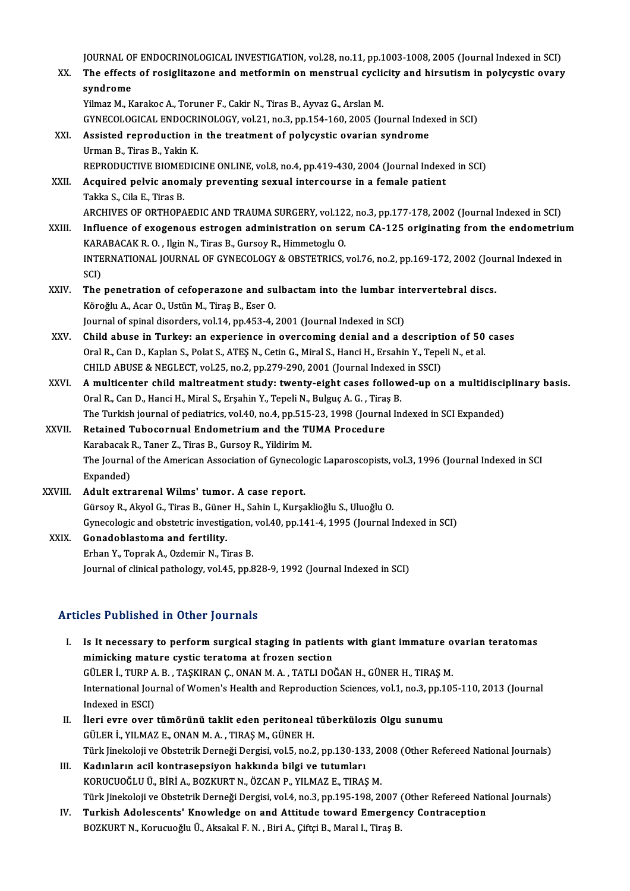JOURNAL OF ENDOCRINOLOGICAL INVESTIGATION, vol.28, no.11, pp.1003-1008, 2005 (Journal Indexed in SCI)<br>The effects of resiglitations and matformin on monatural systemy and hinertiam in nolveyatic eventy

JOURNAL OF ENDOCRINOLOGICAL INVESTIGATION, vol.28, no.11, pp.1003-1008, 2005 (Journal Indexed in SCI)<br>XX. The effects of rosiglitazone and metformin on menstrual cyclicity and hirsutism in polycystic ovary JOURNAL OF<br>The effects<br>syndrome<br><sup>Vilmon M - V</sup> The effects of rosiglitazone and metformin on menstrual cyclicity and hirsutism in polycystic ovary<br>syndrome<br>Yilmaz M., Karakoc A., Toruner F., Cakir N., Tiras B., Ayvaz G., Arslan M.

GYNECOLOGICAL ENDOCRINOLOGY,vol.21,no.3,pp.154-160,2005 (Journal Indexed inSCI)

- XXI. Assisted reproduction in the treatment of polycystic ovarian syndrome Urman B., Tiras B., Yakin K. REPRODUCTIVE BIOMEDICINE ONLINE, vol.8, no.4, pp.419-430, 2004 (Journal Indexed in SCI) Urman B., Tiras B., Yakin K.<br>REPRODUCTIVE BIOMEDICINE ONLINE, vol.8, no.4, pp.419-430, 2004 (Journal Indexenting sexual intercourse in a female patient<br>XXII. Acquired pelvic anomaly preventing sexual intercourse in a femal
- REPRODUCTIVE BIOMEN<br>Acquired pelvic anon<br>Takka S., Cila E., Tiras B.<br>APCHIVES OF OPTHOPA Acquired pelvic anomaly preventing sexual intercourse in a female patient<br>Takka S., Cila E., Tiras B.<br>ARCHIVES OF ORTHOPAEDIC AND TRAUMA SURGERY, vol.122, no.3, pp.177-178, 2002 (Journal Indexed in SCI)<br>Influence of execen
- Takka S., Cila E., Tiras B.<br>ARCHIVES OF ORTHOPAEDIC AND TRAUMA SURGERY, vol.122, no.3, pp.177-178, 2002 (Journal Indexed in SCI)<br>XXIII. Influence of exogenous estrogen administration on serum CA-125 originating from the en ARCHIVES OF ORTHOPAEDIC AND TRAUMA SURGERY, vol.12:<br>Influence of exogenous estrogen administration on se:<br>KARABACAK R. O. , Ilgin N., Tiras B., Gursoy R., Himmetoglu O.<br>INTERNATIONAL JOURNAL OF CYNECOLOCY & OBSTETPICS Influence of exogenous estrogen administration on serum CA-125 originating from the endometriu<br>KARABACAK R. O. , Ilgin N., Tiras B., Gursoy R., Himmetoglu O.<br>INTERNATIONAL JOURNAL OF GYNECOLOGY & OBSTETRICS, vol.76, no.2, KAR<br>INTE<br>SCI)<br>The INTERNATIONAL JOURNAL OF GYNECOLOGY & OBSTETRICS, vol.76, no.2, pp.169-172, 2002 (Jou<br>SCI)<br>XXIV. The penetration of cefoperazone and sulbactam into the lumbar intervertebral discs.
- SCI)<br>The penetration of cefoperazone and su<br>Köroğlu A., Acar O., Ustün M., Tiraş B., Eser O.<br>Journal of opinal disardars vel 14. pp.453.4. i The penetration of cefoperazone and sulbactam into the lumbar in<br>Köroğlu A., Acar O., Ustün M., Tiraş B., Eser O.<br>Journal of spinal disorders, vol.14, pp.453-4, 2001 (Journal Indexed in SCI)<br>Child abuse in Tunkew an experi Köroğlu A., Acar O., Ustün M., Tiraş B., Eser O.<br>Journal of spinal disorders, vol.14, pp.453-4, 2001 (Journal Indexed in SCI)<br>XXV. Child abuse in Turkey: an experience in overcoming denial and a description of 50 cases<br>Ore
- Journal of spinal disorders, vol.14, pp.453-4, 2001 (Journal Indexed in SCI)<br>Child abuse in Turkey: an experience in overcoming denial and a description of 50<br>Oral R., Can D., Kaplan S., Polat S., ATEŞ N., Cetin G., Miral Child abuse in Turkey: an experience in overcoming denial and a descriptional R., Can D., Kaplan S., Polat S., ATES N., Cetin G., Miral S., Hanci H., Ersahin Y., Tepe<br>CHILD ABUSE & NEGLECT, vol.25, no.2, pp.279-290, 2001 ( Oral R., Can D., Kaplan S., Polat S., ATEŞ N., Cetin G., Miral S., Hanci H., Ersahin Y., Tepeli N., et al.<br>CHILD ABUSE & NEGLECT, vol.25, no.2, pp.279-290, 2001 (Journal Indexed in SSCI)<br>XXVI. A multicenter child maltreatm
- CHILD ABUSE & NEGLECT, vol.25, no.2, pp.279-290, 2001 (Journal Indexed<br>A multicenter child maltreatment study: twenty-eight cases follow<br>Oral R., Can D., Hanci H., Miral S., Erşahin Y., Tepeli N., Bulguç A. G. , Tiraş B.<br>T A multicenter child maltreatment study: twenty-eight cases followed-up on a multidiscip<br>Oral R., Can D., Hanci H., Miral S., Erşahin Y., Tepeli N., Bulguç A. G. , Tiraş B.<br>The Turkish journal of pediatrics, vol.40, no.4, p Oral R., Can D., Hanci H., Miral S., Erşahin Y., Tepeli N., Bulguç A. G. , Tira:<br>The Turkish journal of pediatrics, vol.40, no.4, pp.515-23, 1998 (Journa<br>XXVII. Retained Tubocornual Endometrium and the TUMA Procedure<br>Karab
- The Turkish journal of pediatrics, vol.40, no.4, pp.515-23, 1998 (Journal Indexed in SCI Expanded)<br>Retained Tubocornual Endometrium and the TUMA Procedure<br>Karabacak R., Taner Z., Tiras B., Gursoy R., Yildirim M. Retained Tubocornual Endometrium and the TUMA Procedure<br>Karabacak R., Taner Z., Tiras B., Gursoy R., Yildirim M.<br>The Journal of the American Association of Gynecologic Laparoscopists, vol.3, 1996 (Journal Indexed in SCI<br>Ey Karabacak l<br>The Journal<br>Expanded)<br>Adult extr Expanded)<br>XXVIII. Adult extrarenal Wilms' tumor. A case report.

GürsoyR.,AkyolG.,TirasB.,GünerH.,SahinI.,Kurşaklioğlu S.,UluoğluO. Adult extrarenal Wilms' tumor. A case report.<br>Gürsoy R., Akyol G., Tiras B., Güner H., Sahin I., Kurşaklioğlu S., Uluoğlu O.<br>Gynecologic and obstetric investigation, vol.40, pp.141-4, 1995 (Journal Indexed in SCI)<br>Conadebl

XXIX. Gonadoblastoma and fertility.<br>Erhan Y., Toprak A., Ozdemir N., Tiras B. Gynecologic and obstetric investigation,<br>**Gonadoblastoma and fertility.**<br>Erhan Y., Toprak A., Ozdemir N., Tiras B.<br>Journal of clinical pathology vol 45, np 6 Journal of clinical pathology, vol.45, pp.828-9, 1992 (Journal Indexed in SCI)

## Articles Published in Other Journals

- rticles Published in Other Journals<br>I. Is It necessary to perform surgical staging in patients with giant immature ovarian teratomas<br>mimicking mature quatic teratoma at fragan section Is It necessary to perform surgical staging in patien<br>mimicking mature cystic teratoma at frozen section<br>CULED I, TUPP A P, TASKIPAN C, ONAN M, A, TATLLDO Is It necessary to perform surgical staging in patients with giant immature of mimicking mature cystic teratoma at frozen section<br>GÜLER İ., TURP A. B. , TAŞKIRAN Ç., ONAN M. A. , TATLI DOĞAN H., GÜNER H., TIRAŞ M.<br>Internat mimicking mature cystic teratoma at frozen section<br>GÜLER İ., TURP A. B. , TAŞKIRAN Ç., ONAN M. A. , TATLI DOĞAN H., GÜNER H., TIRAŞ M.<br>International Journal of Women's Health and Reproduction Sciences, vol.1, no.3, pp.105-GÜLER İ., TURP A. B. , TAŞKIRAN Ç., ONAN M. A. , TATLI DOĞAN H., GÜNER H., TIRAŞ M. International Journal of Women's Health and Reproduction Sciences, vol.1, no.3, pp.1<br>Indexed in ESCI)<br>II. Ileri evre over tümörünü taklit eden peritoneal tüberkülozis Olgu sunumu<br>CÜLER İ. VILMAZE ONAN M.A. TIRAS M. CÜNER H
- Indexed in ESCI)<br>İleri evre over tümörünü taklit eden peritoneal<br>GÜLER İ., YILMAZ E., ONAN M. A. , TIRAŞ M., GÜNER H.<br>Türk linekeleji ve Obstetrik Derneği Dergisi vel 5-ne 2 İleri evre over tümörünü taklit eden peritoneal tüberkülozis Olgu sunumu<br>GÜLER İ., YILMAZ E., ONAN M. A. , TIRAŞ M., GÜNER H.<br>Türk Jinekoloji ve Obstetrik Derneği Dergisi, vol.5, no.2, pp.130-133, 2008 (Other Refereed Nati GÜLER İ., YILMAZ E., ONAN M. A. , TIRAŞ M., GÜNER H.<br>Türk Jinekoloji ve Obstetrik Derneği Dergisi, vol.5, no.2, pp.130-133, 2(<br>III. Kadınların acil kontrasepsiyon hakkında bilgi ve tutumları<br>KORUCUOĞLU Ü., BİRİ A., BOZKURT
- Türk Jinekoloji ve Obstetrik Derneği Dergisi, vol.5, no.2, pp.130-133, 20<br>Kadınların acil kontrasepsiyon hakkında bilgi ve tutumları<br>KORUCUOĞLU Ü., BİRİ A., BOZKURT N., ÖZCAN P., YILMAZ E., TIRAŞ M.<br>Türk linekeleji ve Obst Kadınların acil kontrasepsiyon hakkında bilgi ve tutumları<br>KORUCUOĞLU Ü., BİRİ A., BOZKURT N., ÖZCAN P., YILMAZ E., TIRAŞ M.<br>Türk Jinekoloji ve Obstetrik Derneği Dergisi, vol.4, no.3, pp.195-198, 2007 (Other Refereed Natio KORUCUOĞLU Ü., BİRİ A., BOZKURT N., ÖZCAN P., YILMAZ E., TIRAŞ M.<br>Türk Jinekoloji ve Obstetrik Derneği Dergisi, vol.4, no.3, pp.195-198, 2007 (Other Refereed Nati<br>IV. Turkish Adolescents' Knowledge on and Attitude toward E
- Türk Jinekoloji ve Obstetrik Derneği Dergisi, vol.4, no.3, pp.195-198, 2007 (<br><mark>Turkish Adolescents' Knowledge on and Attitude toward Emergen</mark><br>BOZKURT N., Korucuoğlu Ü., Aksakal F. N. , Biri A., Çiftçi B., Maral I., Tiraş B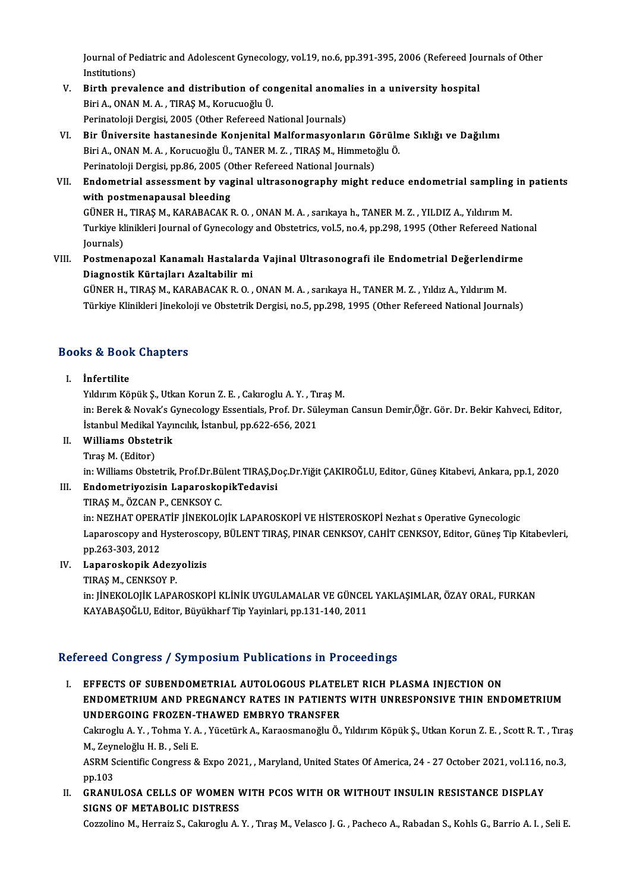Journal of Pediatric and Adolescent Gynecology, vol.19, no.6, pp.391-395, 2006 (Refereed Journals of Other<br>Institutions) Journal of Pe<br>Institutions)<br>Pinth prove Journal of Pediatric and Adolescent Gynecology, vol.19, no.6, pp.391-395, 2006 (Refereed Journal institutions)<br>V. Birth prevalence and distribution of congenital anomalies in a university hospital<br>Piri A. ONAN M.A., TIPAS

- Institutions)<br>Birth prevalence and distribution of co:<br>Biri A., ONAN M. A. , TIRAŞ M., Korucuoğlu Ü.<br>Perinatalaji Dergisi 2005 (Other Refereed N Birth prevalence and distribution of congenital anomal<br>Biri A., ONAN M. A. , TIRAŞ M., Korucuoğlu Ü.<br>Perinatoloji Dergisi, 2005 (Other Refereed National Journals)<br>Pir Üniversite bastanesinde Konienital Malformasyonle Biri A., ONAN M. A. , TIRAŞ M., Korucuoğlu Ü.<br>Perinatoloji Dergisi, 2005 (Other Refereed National Journals)<br>VI. Bir Üniversite hastanesinde Konjenital Malformasyonların Görülme Sıklığı ve Dağılımı
- Perinatoloji Dergisi, 2005 (Other Refereed National Journals)<br>Bir Üniversite hastanesinde Konjenital Malformasyonların Görüln<br>Biri A., ONAN M. A. , Korucuoğlu Ü., TANER M. Z. , TIRAŞ M., Himmetoğlu Ö.<br>Perinatoloji Dergisi Bir Üniversite hastanesinde Konjenital Malformasyonların Gə<br>Biri A., ONAN M. A. , Korucuoğlu Ü., TANER M. Z. , TIRAŞ M., Himmeto;<br>Perinatoloji Dergisi, pp.86, 2005 (Other Refereed National Journals)<br>Endemetrial assessment Biri A., ONAN M. A. , Korucuoğlu Ü., TANER M. Z. , TIRAŞ M., Himmetoğlu Ö.<br>Perinatoloji Dergisi, pp.86, 2005 (Other Refereed National Journals)<br>VII. Endometrial assessment by vaginal ultrasonography might reduce endome
- Perinatoloji Dergisi, pp.86, 2005 (O<br>Endometrial assessment by vag<br>with postmenapausal bleeding<br>CÜNEP H. TIBAS M. KABABACAKI Endometrial assessment by vaginal ultrasonography might reduce endometrial sampling<br>with postmenapausal bleeding<br>GÜNER H., TIRAŞ M., KARABACAK R. O. , ONAN M. A. , sarıkaya h., TANER M. Z. , YILDIZ A., Yıldırım M.<br>Turkiye with postmenapausal bleeding<br>GÜNER H., TIRAŞ M., KARABACAK R. O. , ONAN M. A. , sarıkaya h., TANER M. Z. , YILDIZ A., Yıldırım M.<br>Turkiye klinikleri Journal of Gynecology and Obstetrics, vol.5, no.4, pp.298, 1995 (Other Re GÜNER H., TIRAŞ M., KARABACAK R. O., ONAN M. A., sarıkaya h., TANER M. Z., YILDIZ A., Yıldırım M. Turkiye klinikleri Journal of Gynecology and Obstetrics, vol.5, no.4, pp.298, 1995 (Other Refereed Nation<br>Journals)<br>VIII. Postmenapozal Kanamalı Hastalarda Vajinal Ultrasonografi ile Endometrial Değerlendirme<br>Diegnestik Kü
- Journals)<br>Postmenapozal Kanamalı Hastalard<br>Diagnostik Kürtajları Azaltabilir mi<br>CÜNER H. TIRAS M. KARARACAKR O Postmenapozal Kanamalı Hastalarda Vajinal Ultrasonografi ile Endometrial Değerlendir<br>Diagnostik Kürtajları Azaltabilir mi<br>GÜNER H., TIRAŞ M., KARABACAK R. O. , ONAN M. A. , sarıkaya H., TANER M. Z. , Yıldız A., Yıldırım M.

Diagnostik Kürtajları Azaltabilir mi<br>GÜNER H., TIRAŞ M., KARABACAK R. O. , ONAN M. A. , sarıkaya H., TANER M. Z. , Yıldız A., Yıldırım M.<br>Türkiye Klinikleri Jinekoloji ve Obstetrik Dergisi, no.5, pp.298, 1995 (Other Refere

# Turkiye Kilnikleri jinekok<br>Books & Book Chapters I. İnfertilite

15 & Door Graptoru<br>İnfertilite<br>Yıldırım Köpük Ş., Utkan Korun Z. E. , Cakıroglu A. Y. , Tıraş M.<br>in: Berek & Nevel's Symeselegy Essentials, Pref. Dr. Süleymer

I. İnfertilite<br>Yıldırım Köpük Ş., Utkan Korun Z. E. , Cakıroglu A. Y. , Tıraş M.<br>in: Berek & Novak's Gynecology Essentials, Prof. Dr. Süleyman Cansun Demir,Öğr. Gör. Dr. Bekir Kahveci, Editor,<br>İstanbul Medikal Yayıncılık, Yıldırım Köpük Ş., Utkan Korun Z. E. , Cakıroglu A. Y. , Tıl<br>in: Berek & Novak's Gynecology Essentials, Prof. Dr. Sül<br>İstanbul Medikal Yayıncılık, İstanbul, pp.622-656, 2021<br>Williams Obstatrik

## II. Williams Obstetrik

TıraşM. (Editor)

in: Williams Obstetrik, Prof.Dr.Bülent TIRAS,Doç.Dr.Yiğit ÇAKIROĞLU, Editor, Güneş Kitabevi, Ankara, pp.1, 2020

## Tıraş M. (Editor)<br>in: Williams Obstetrik, Prof.Dr.Bülent TIRAŞ,Do<br>III. Endometriyozisin LaparoskopikTedavisi<br>TIRAS M. ÖZCAN B. CENKSOV C in: Williams Obstetrik, Prof.Dr.Bü<br>**Endometriyozisin Laparosko**<br>TIRAŞ M., ÖZCAN P., CENKSOY C.<br>in: NEZHAT OPERATİE LİNEKOLO

TIRAŞ M., ÖZCAN P., CENKSOY C.<br>in: NEZHAT OPERATİF JİNEKOLOJİK LAPAROSKOPİ VE HİSTEROSKOPİ Nezhat s Operative Gynecologic TIRAŞ M., ÖZCAN P., CENKSOY C.<br>in: NEZHAT OPERATİF JİNEKOLOJİK LAPAROSKOPİ VE HİSTEROSKOPİ Nezhat s Operative Gynecologic<br>Laparoscopy and Hysteroscopy, BÜLENT TIRAŞ, PINAR CENKSOY, CAHİT CENKSOY, Editor, Güneş Tip Kitabevl in: NEZHAT OPERA<br>Laparoscopy and I<br>pp.263-303, 2012<br>Laparoskopik Ad Laparoscopy and Hysterosco<br>pp.263-303, 2012<br>IV. Laparoskopik Adezyolizis<br>TIPAS M. GENIZSOV P pp.263-303, 2012<br><mark>Laparoskopik Adezy</mark><br>TIRAŞ M., CENKSOY P.<br>in: UNEKOLOUK LARA

Laparoskopik Adezyolizis<br>TIRAŞ M., CENKSOY P.<br>in: JİNEKOLOJİK LAPAROSKOPİ KLİNİK UYGULAMALAR VE GÜNCEL YAKLAŞIMLAR, ÖZAY ORAL, FURKAN<br>KAVARASOĞLU, Editor, Büyükbərf Tip Yayıpları, pp.131,140,2011 TIRAŞ M., CENKSOY P.<br>in: JİNEKOLOJİK LAPAROSKOPİ KLİNİK UYGULAMALAR VE GÜNCEI<br>KAYABAŞOĞLU, Editor, Büyükharf Tip Yayinlari, pp.131-140, 2011

# KAYABAŞOĞLU, Editor, Büyükharf Tip Yayinlari, pp.131-140, 2011<br>Refereed Congress / Symposium Publications in Proceedings

I. EFFECTS OF SUBENDOMETRIAL AUTOLOGOUS PLATELET RICH PLASMA INJECTION ON TOOR GONGLOSSY SYMPOSIAM I RENGRISMS IN ITOGGORINGS<br>EFFECTS OF SUBENDOMETRIAL AUTOLOGOUS PLATELET RICH PLASMA INJECTION ON<br>ENDOMETRIUM AND PREGNANCY RATES IN PATIENTS WITH UNRESPONSIVE THIN ENDOMETRIUM<br>UNDERCOING EROZEN TH EFFECTS OF SUBENDOMETRIAL AUTOLOGOUS PLATEI<br>ENDOMETRIUM AND PREGNANCY RATES IN PATIENT:<br>UNDERGOING FROZEN-THAWED EMBRYO TRANSFER<br>Calurarly A. Y., Tahma Y. A., Yüsetürk A., Kanasmanağlı Ö. ENDOMETRIUM AND PREGNANCY RATES IN PATIENTS WITH UNRESPONSIVE THIN ENDOMETRIUM<br>UNDERGOING FROZEN-THAWED EMBRYO TRANSFER<br>Cakıroglu A. Y. , Tohma Y. A. , Yücetürk A., Karaosmanoğlu Ö., Yıldırım Köpük Ş., Utkan Korun Z. E. ,

UNDERGOING FROZEN-7<br>Cakıroglu A. Y. , Tohma Y. A<br>M., Zeyneloğlu H. B. , Seli E.<br>ASPM Scientific Congress & Cakıroglu A. Y. , Tohma Y. A. , Yücetürk A., Karaosmanoğlu Ö., Yıldırım Köpük Ş., Utkan Korun Z. E. , Scott R. T. , Tıraş<br>M., Zeyneloğlu H. B. , Seli E.<br>ASRM Scientific Congress & Expo 2021, , Maryland, United States Of Am

M., Zeyr<br>ASRM S<br>pp.103<br>CPANU ASRM Scientific Congress & Expo 2021, , Maryland, United States Of America, 24 - 27 October 2021, vol.116, 1<br>pp.103<br>II. GRANULOSA CELLS OF WOMEN WITH PCOS WITH OR WITHOUT INSULIN RESISTANCE DISPLAY

pp.103<br>GRANULOSA CELLS OF WOMEN V<br>SIGNS OF METABOLIC DISTRESS<br>Corrolino M. Horrair S. Colarogly A. GRANULOSA CELLS OF WOMEN WITH PCOS WITH OR WITHOUT INSULIN RESISTANCE DISPLAY<br>SIGNS OF METABOLIC DISTRESS<br>Cozzolino M., Herraiz S., Cakıroglu A.Y. , Tıraş M., Velasco J. G. , Pacheco A., Rabadan S., Kohls G., Barrio A. I.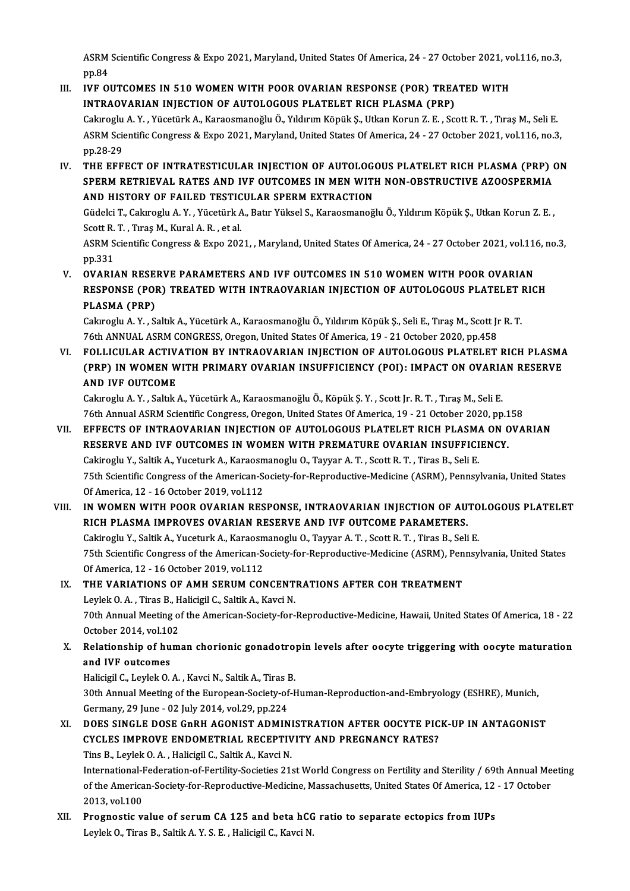ASRM Scientific Congress & Expo 2021, Maryland, United States Of America, 24 - 27 October 2021, vol.116, no.3,<br>nn 84 ASRM<br>pp.84<br>IVE O ASRM Scientific Congress & Expo 2021, Maryland, United States Of America, 24 - 27 October 2021, voltop.<br>III. IVF OUTCOMES IN 510 WOMEN WITH POOR OVARIAN RESPONSE (POR) TREATED WITH<br>INTRAOVARIAN INIECTION OF AUTOLOGOUS BLAT

- pp.84<br>IVF OUTCOMES IN 510 WOMEN WITH POOR OVARIAN RESPONSE (POR) TREA<br>INTRAOVARIAN INJECTION OF AUTOLOGOUS PLATELET RICH PLASMA (PRP)<br>Celurarly A.V., Vüsetürk A. Kanaamanažly Ö. Vilduum Känük S. Utlan Kanun 7, E. Sa IVF OUTCOMES IN 510 WOMEN WITH POOR OVARIAN RESPONSE (POR) TREATED WITH<br>INTRAOVARIAN INJECTION OF AUTOLOGOUS PLATELET RICH PLASMA (PRP)<br>Cakıroglu A.Y., Yücetürk A., Karaosmanoğlu Ö., Yıldırım Köpük Ş., Utkan Korun Z. E. , INTRAOVARIAN INJECTION OF AUTOLOGOUS PLATELET RICH PLASMA (PRP)<br>Cakiroglu A. Y., Yücetürk A., Karaosmanoğlu Ö., Yıldırım Köpük Ş., Utkan Korun Z. E., Scott R. T., Tiraş M., Seli E.<br>ASRM Scientific Congress & Expo 2021, Mar Cakiroglu<br>ASRM Scie<br>pp.28-29<br>THE FFE ASRM Scientific Congress & Expo 2021, Maryland, United States Of America, 24 - 27 October 2021, vol.116, no.3,<br>pp.28-29<br>IV. THE EFFECT OF INTRATESTICULAR INJECTION OF AUTOLOGOUS PLATELET RICH PLASMA (PRP) ON<br>SPEPM PETPIEVA
- pp.28-29<br>THE EFFECT OF INTRATESTICULAR INJECTION OF AUTOLOGOUS PLATELET RICH PLASMA (PRP) (<br>SPERM RETRIEVAL RATES AND IVF OUTCOMES IN MEN WITH NON-OBSTRUCTIVE AZOOSPERMIA<br>AND HISTORY OF FAJLED TESTICIJLAR SPERM EXTRACTION THE EFFECT OF INTRATESTICULAR INJECTION OF AUTOLOG<br>SPERM RETRIEVAL RATES AND IVF OUTCOMES IN MEN WITI<br>AND HISTORY OF FAILED TESTICULAR SPERM EXTRACTION<br>Cüdelei T. Celareslu A. V., Vüestürk A. Petr Vülsel S. Karaesmaneğ SPERM RETRIEVAL RATES AND IVF OUTCOMES IN MEN WITH NON-OBSTRUCTIVE AZOOSPERMIA<br>AND HISTORY OF FAILED TESTICULAR SPERM EXTRACTION<br>Güdelci T., Cakıroglu A. Y. , Yücetürk A., Batır Yüksel S., Karaosmanoğlu Ö., Yıldırım Köpük AND HISTORY OF FAILED TESTIC<br>Güdelci T., Cakıroglu A.Y. , Yücetürk A<br>Scott R. T. , Tıraş M., Kural A. R. , et al.<br>ASPM Scientific Congress & Erne 202 Güdelci T., Cakıroglu A. Y. , Yücetürk A., Batır Yüksel S., Karaosmanoğlu Ö., Yıldırım Köpük Ş., Utkan Korun Z. E. ,<br>Scott R. T. , Tıraş M., Kural A. R. , et al.<br>ASRM Scientific Congress & Expo 2021, , Maryland, United Sta Scott R<br>ASRM S<br>pp.331<br>OVAPL
- pp.331<br>V. OVARIAN RESERVE PARAMETERS AND IVF OUTCOMES IN 510 WOMEN WITH POOR OVARIAN <sub>PP</sub>.331<br>OVARIAN RESERVE PARAMETERS AND IVF OUTCOMES IN 510 WOMEN WITH POOR OVARIAN<br>RESPONSE (POR) TREATED WITH INTRAOVARIAN INJECTION OF AUTOLOGOUS PLATELET RICH<br>RLASMA (RRR) OVARIAN RESE<br>RESPONSE (POI<br>PLASMA (PRP)<br>Celarechi A.V. S RESPONSE (POR) TREATED WITH INTRAOVARIAN INJECTION OF AUTOLOGOUS PLATELET |<br>PLASMA (PRP)<br>Cakıroglu A.Y., Saltık A., Yücetürk A., Karaosmanoğlu Ö., Yıldırım Köpük Ş., Seli E., Tıraş M., Scott Jr R. T.<br>76th ANNIJAL ASPM CONC

PLASMA (PRP)<br>Cakıroglu A. Y. , Saltık A., Yücetürk A., Karaosmanoğlu Ö., Yıldırım Köpük Ş., Seli E., Tıraş M., Scott Jr R. T<br>76th ANNUAL ASRM CONGRESS, Oregon, United States Of America, 19 - 21 October 2020, pp.458 Cakiroglu A. Y. , Saltik A., Yücetürk A., Karaosmanoğlu Ö., Yıldırım Köpük Ş., Seli E., Tıraş M., Scott Jr R. T.<br>76th ANNUAL ASRM CONGRESS, Oregon, United States Of America, 19 - 21 October 2020, pp.458<br>70 - FOLLICULAR ACT

76th ANNUAL ASRM CONGRESS, Oregon, United States Of America, 19 - 21 October 2020, pp.458<br>FOLLICULAR ACTIVATION BY INTRAOVARIAN INJECTION OF AUTOLOGOUS PLATELET RICH PLASMA<br>(PRP) IN WOMEN WITH PRIMARY OVARIAN INSUFFICIENCY FOLLICULAR ACTIV<br>(PRP) IN WOMEN W<br>AND IVF OUTCOME (PRP) IN WOMEN WITH PRIMARY OVARIAN INSUFFICIENCY (POI): IMPACT ON OVARIAN RESERVE<br>AND IVF OUTCOME<br>Cakıroglu A. Y. , Saltık A., Yücetürk A., Karaosmanoğlu Ö., Köpük Ş. Y. , Scott Jr. R. T. , Tıraş M., Seli E.

AND IVF OUTCOME<br>Cakıroglu A. Y. , Saltık A., Yücetürk A., Karaosmanoğlu Ö., Köpük Ş. Y. , Scott Jr. R. T. , Tıraş M., Seli E.<br>76th Annual ASRM Scientific Congress, Oregon, United States Of America, 19 - 21 October 2020, pp

- VII. EFFECTS OF INTRAOVARIAN INJECTION OF AUTOLOGOUS PLATELET RICH PLASMA ON OVARIAN 76th Annual ASRM Scientific Congress, Oregon, United States Of America, 19 - 21 October 2020, pp.1<br>EFFECTS OF INTRAOVARIAN INJECTION OF AUTOLOGOUS PLATELET RICH PLASMA ON C<br>RESERVE AND IVF OUTCOMES IN WOMEN WITH PREMATURE RESERVE AND IVF OUTCOMES IN WOMEN WITH PREMATURE OVARIAN INSUFFICIENCY.<br>Cakiroglu Y., Saltik A., Yuceturk A., Karaosmanoglu O., Tayyar A. T. , Scott R. T. , Tiras B., Seli E. 75th Scientific Congress of the American-Society-for-Reproductive-Medicine (ASRM), Pennsylvania, United States OfAmerica,12 -16October 2019,vol.112 T5th Scientific Congress of the American-Society-for-Reproductive-Medicine (ASRM), Pennsylvania, United States<br>Of America, 12 - 16 October 2019, vol.112<br>VIII. IN WOMEN WITH POOR OVARIAN RESPONSE, INTRAOVARIAN INJECTION OF
- Of America, 12 16 October 2019, vol.112<br>IN WOMEN WITH POOR OVARIAN RESPONSE, INTRAOVARIAN INJECTION OF AU<br>RICH PLASMA IMPROVES OVARIAN RESERVE AND IVF OUTCOME PARAMETERS.<br>Cakinogh: Y. Sakik A. Yusaturk A. Karagamanogh: O IN WOMEN WITH POOR OVARIAN RESPONSE, INTRAOVARIAN INJECTION OF AUTO<br>RICH PLASMA IMPROVES OVARIAN RESERVE AND IVF OUTCOME PARAMETERS.<br>Cakiroglu Y., Saltik A., Yuceturk A., Karaosmanoglu O., Tayyar A.T. , Scott R.T. , Tiras RICH PLASMA IMPROVES OVARIAN RESERVE AND IVF OUTCOME PARAMETERS.<br>Cakiroglu Y., Saltik A., Yuceturk A., Karaosmanoglu O., Tayyar A. T. , Scott R. T. , Tiras B., Seli E.<br>75th Scientific Congress of the American-Society-for-R Cakiroglu Y., Saltik A., Yuceturk A., Karaosm<br>75th Scientific Congress of the American-Sof<br>Of America, 12 - 16 October 2019, vol.112<br>THE VARIATIONS OF AMH SERIIM CON
- 75th Scientific Congress of the American-Society-for-Reproductive-Medicine (ASRM), Pen<br>Of America, 12 16 October 2019, vol.112<br>IX. THE VARIATIONS OF AMH SERUM CONCENTRATIONS AFTER COH TREATMENT Of America, 12 - 16 October 2019, vol.112<br>THE VARIATIONS OF AMH SERUM CONCENT<br>Leylek O. A. , Tiras B., Halicigil C., Saltik A., Kavci N. 70th Annual Meeting of the American-Society-for-Reproductive-Medicine, Hawaii, United States Of America, 18 - 22 Leylek O. A., Tiras B., Halicigil C., Saltik A., Kavci N. October 2014, vol.102
- X. Relationship of human chorionic gonadotropin levels after oocyte triggering with oocyte maturation and IVF outcomes Relationship of human chorionic gonadotro<br>and IVF outcomes<br>Halicigil C., Leylek O.A. , Kavci N., Saltik A., Tiras B.<br>20th Annual Meeting of the European Society of L

30th Annual Meeting of the European-Society-of-Human-Reproduction-and-Embryology (ESHRE), Munich,<br>Germany, 29 June - 02 July 2014, vol.29, pp.224 Halicigil C., Leylek O. A. , Kavci N., Saltik A., Tiras I<br>30th Annual Meeting of the European-Society-of<br>Germany, 29 June - 02 July 2014, vol.29, pp.224<br>DOES SINGLE DOSE CRPH ACONIST ADMIN 30th Annual Meeting of the European-Society-of-Human-Reproduction-and-Embryology (ESHRE), Munich,<br>Germany, 29 June - 02 July 2014, vol.29, pp.224<br>XI. DOES SINGLE DOSE GNRH AGONIST ADMINISTRATION AFTER OOCYTE PICK-UP IN ANT

- Germany, 29 June 02 July 2014, vol.29, pp.224<br>DOES SINGLE DOSE GnRH AGONIST ADMINISTRATION AFTER OOCYTE PIC<br>CYCLES IMPROVE ENDOMETRIAL RECEPTIVITY AND PREGNANCY RATES?<br>Ting B. Loylek O. A., Holigigil C. Soltik A., Koygi DOES SINGLE DOSE GnRH AGONIST ADMINI<br>CYCLES IMPROVE ENDOMETRIAL RECEPTIV<br>Tins B., Leylek O. A. , Halicigil C., Saltik A., Kavci N. CYCLES IMPROVE ENDOMETRIAL RECEPTIVITY AND PREGNANCY RATES?<br>Tins B., Leylek O. A. , Halicigil C., Saltik A., Kavci N.<br>International-Federation-of-Fertility-Societies 21st World Congress on Fertility and Sterility / 69th An Tins B., Leylek O. A. , Halicigil C., Saltik A., Kavci N.<br>International-Federation-of-Fertility-Societies 21st World Congress on Fertility and Sterility / 69th Annual Me<br>of the American-Society-for-Reproductive-Medicine, M of the American-Society-for-Reproductive-Medicine, Massachusetts, United States Of America, 12 - 17 October 2013, vol.100 of the American-Society-for-Reproductive-Medicine, Massachusetts, United States Of America, 12<br>2013, vol.100<br>XII. Prognostic value of serum CA 125 and beta hCG ratio to separate ectopics from IUPs<br>Lough O. Time B. Seltik A
- 2013, vol.100<br><mark>Prognostic value of serum CA 125 and beta hCG</mark><br>Leylek O., Tiras B., Saltik A. Y. S. E. , Halicigil C., Kavci N.